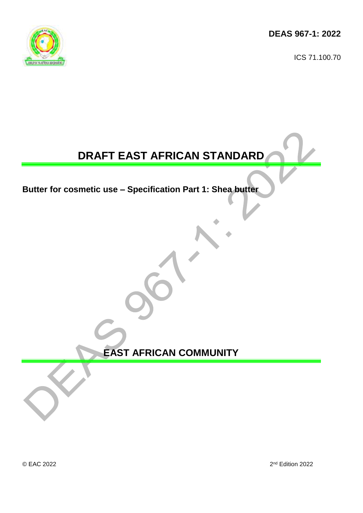**DEAS 967-1: 2022**

ICS 71.100.70



# **DRAFT EAST AFRICAN STANDARD**

**Butter for cosmetic use – Specification Part 1: Shea butter**

**EAST AFRICAN COMMUNITY**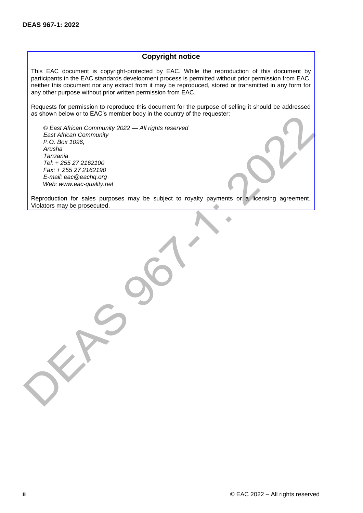## **Copyright notice**

This EAC document is copyright-protected by EAC. While the reproduction of this document by participants in the EAC standards development process is permitted without prior permission from EAC, neither this document nor any extract from it may be reproduced, stored or transmitted in any form for any other purpose without prior written permission from EAC.

Requests for permission to reproduce this document for the purpose of selling it should be addressed as shown below or to EAC's member body in the country of the requester:

*© East African Community 2022 — All rights reserved East African Community P.O. Box 1096, Arusha Tanzania Tel: + 255 27 2162100 Fax: + 255 27 2162190 E-mail: eac@eachq.org Web: www.eac-quality.net*

Reproduction for sales purposes may be subject to royalty payments or a licensing agreement. Violators may be prosecuted.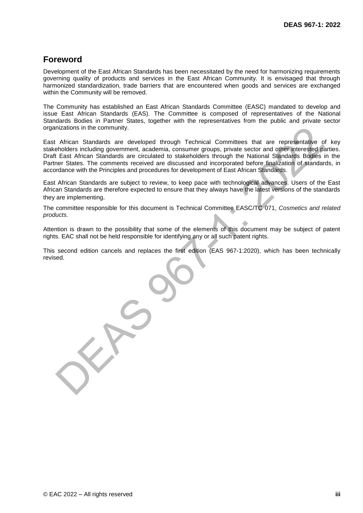# **Foreword**

Development of the East African Standards has been necessitated by the need for harmonizing requirements governing quality of products and services in the East African Community. It is envisaged that through harmonized standardization, trade barriers that are encountered when goods and services are exchanged within the Community will be removed.

The Community has established an East African Standards Committee (EASC) mandated to develop and issue East African Standards (EAS). The Committee is composed of representatives of the National Standards Bodies in Partner States, together with the representatives from the public and private sector organizations in the community.

East African Standards are developed through Technical Committees that are representative of key stakeholders including government, academia, consumer groups, private sector and other interested parties. Draft East African Standards are circulated to stakeholders through the National Standards Bodies in the Partner States. The comments received are discussed and incorporated before finalization of standards, in accordance with the Principles and procedures for development of East African Standards.

East African Standards are subject to review, to keep pace with technological advances. Users of the East African Standards are therefore expected to ensure that they always have the latest versions of the standards they are implementing.

The committee responsible for this document is Technical Committee EASC/TC 071, *Cosmetics and related products.*

Attention is drawn to the possibility that some of the elements of this document may be subject of patent rights. EAC shall not be held responsible for identifying any or all such patent rights.

This second edition cancels and replaces the first edition (EAS 967-1:2020), which has been technically revised.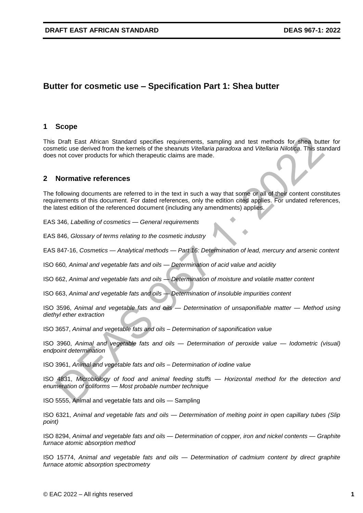# **Butter for cosmetic use – Specification Part 1: Shea butter**

## **1 Scope**

This Draft East African Standard specifies requirements, sampling and test methods for shea butter for cosmetic use derived from the kernels of the sheanuts *Vitellaria paradoxa* and *Vitellaria Nilotica*. This standard does not cover products for which therapeutic claims are made.

## **2 Normative references**

The following documents are referred to in the text in such a way that some or all of their content constitutes requirements of this document. For dated references, only the edition cited applies. For undated references, the latest edition of the referenced document (including any amendments) applies.

EAS 346, *Labelling of cosmetics — General requirements*

EAS 846, *Glossary of terms relating to the cosmetic industry*

EAS 847-16, *Cosmetics — Analytical methods — Part 16: Determination of lead, mercury and arsenic content*

ISO 660*, Animal and vegetable fats and oils — Determination of acid value and acidity* 

ISO 662, *Animal and vegetable fats and oils — Determination of moisture and volatile matter content*

ISO 663, *Animal and vegetable fats and oils — Determination of insoluble impurities content*

ISO 3596, *Animal and vegetable fats and oils — Determination of unsaponifiable matter — Method using diethyl ether extraction*

ISO 3657, *Animal and vegetable fats and oils – Determination of saponification value*

ISO 3960, *Animal and vegetable fats and oils — Determination of peroxide value — Iodometric (visual) endpoint determination*

ISO 3961, *Animal and vegetable fats and oils – Determination of iodine value*

ISO 4831, *Microbiology of food and animal feeding stuffs — Horizontal method for the detection and enumeration of coliforms — Most probable number technique*

ISO 5555, Animal and vegetable fats and oils — Sampling

ISO 6321, *Animal and vegetable fats and oils — Determination of melting point in open capillary tubes (Slip point)*

ISO 8294, *Animal and vegetable fats and oils — Determination of copper, iron and nickel contents — Graphite furnace atomic absorption method*

ISO 15774, *Animal and vegetable fats and oils — Determination of cadmium content by direct graphite furnace atomic absorption spectrometry*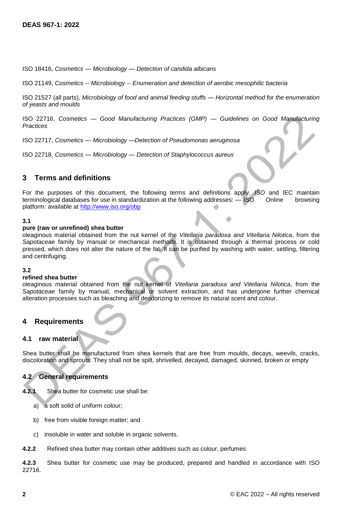ISO 18416, *Cosmetics — Microbiology — Detection of candida albicans*

ISO 21149, *Cosmetics -- Microbiology -- Enumeration and detection of aerobic mesophilic bacteria*

ISO 21527 (all parts), *Microbiology of food and animal feeding stuffs — Horizontal method for the enumeration of yeasts and moulds* 

ISO 22716, *Cosmetics — Good Manufacturing Practices (GMP) — Guidelines on Good Manufacturing Practices*

ISO 22717, *Cosmetics — Microbiology —Detection of Pseudomonas aeruginosa*

ISO 22718, *Cosmetics — Microbiology — Detection of Staphylococcus aureus*

## **3 Terms and definitions**

For the purposes of this document, the following terms and definitions apply. ISO and IEC maintain terminological databases for use in standardization at the following addresses: — ISO Online browsing platform: available at<http://www.iso.org/obp>

#### **3.1**

#### **pure (raw or unrefined) shea butter**

oleaginous material obtained from the nut kernel of the *Vitellaria paradoxa and Vitellaria Nilotica*, from the *Sapotaceae* family by manual or mechanical methods. It is obtained through a thermal process or cold pressed, which does not alter the nature of the fat. It can be purified by washing with water, settling, filtering and centrifuging.

#### **3.2**

#### **refined shea butter**

oleaginous material obtained from the nut kernel of *Vitellaria paradoxa and Vitellaria Nilotica,* from the *Sapotaceae* family by manual, mechanical or solvent extraction, and has undergone further chemical alteration processes such as bleaching and deodorizing to remove its natural scent and colour.

## **4 Requirements**

#### **4.1 raw material**

Shea butter shall be manufactured from shea kernels that are free from moulds, decays, weevils, cracks, discoloration and sprouts. They shall not be spilt, shrivelled, decayed, damaged, skinned, broken or empty

#### **4.2 General requirements**

- **4.2.1** Shea butter for cosmetic use shall be:
	- a) a soft solid of uniform colour;
	- b) free from visible foreign matter; and
	- c) insoluble in water and soluble in organic solvents.
- **4.2.2** Refined shea butter may contain other additives such as colour, perfumes

**4.2.3** Shea butter for cosmetic use may be produced, prepared and handled in accordance with ISO 22716.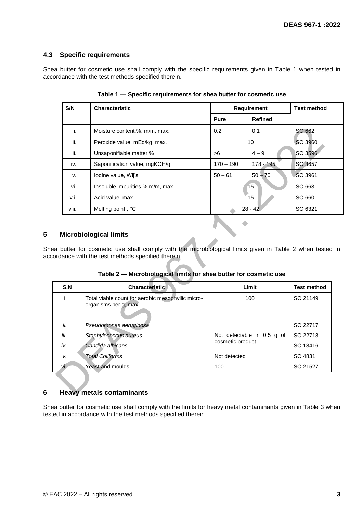## **4.3 Specific requirements**

Shea butter for cosmetic use shall comply with the specific requirements given in Table 1 when tested in accordance with the test methods specified therein.

| S/N   | <b>Characteristic</b>           | <b>Requirement</b> |                | <b>Test method</b> |
|-------|---------------------------------|--------------------|----------------|--------------------|
|       |                                 | <b>Pure</b>        | <b>Refined</b> |                    |
| i.    | Moisture content,%, m/m, max.   | 0.2                | 0.1            | <b>ISO 662</b>     |
| ii.   | Peroxide value, mEq/kg, max.    |                    | 10             | <b>ISO 3960</b>    |
| iii.  | Unsaponifiable matter,%         | >6                 | $4 - 9$        | <b>ISO 3596</b>    |
| iv.   | Saponification value, mgKOH/g   | $170 - 190$        | $178 - 195$    | <b>ISO 3657</b>    |
| v.    | Iodine value, Wij's             | $50 - 61$          | $50 - 70$      | <b>ISO 3961</b>    |
| vi.   | Insoluble impurities,% m/m, max |                    | 15             | ISO 663            |
| vii.  | Acid value, max.                |                    | 15             | ISO 660            |
| viii. | Melting point, °C               |                    | $28 - 42$      | ISO 6321           |

**Table 1 — Specific requirements for shea butter for cosmetic use**

## **5 Microbiological limits**

Shea butter for cosmetic use shall comply with the microbiological limits given in Table 2 when tested in accordance with the test methods specified therein.

**Table 2 — Microbiological limits for shea butter for cosmetic use**

| S.N  | <b>Characteristic</b>                                                      | Limit                      | <b>Test method</b> |
|------|----------------------------------------------------------------------------|----------------------------|--------------------|
| i.   | Total viable count for aerobic mesophyllic micro-<br>organisms per g, max. | 100                        | ISO 21149          |
| ii.  | Pseudomonas aeruginosa                                                     |                            | ISO 22717          |
| iii. | Staphylococcus aureus                                                      | Not detectable in 0.5 g of | ISO 22718          |
| iv.  | Candida albicans                                                           | cosmetic product           | ISO 18416          |
| v.   | <b>Total Coliforms</b>                                                     | Not detected               | <b>ISO 4831</b>    |
| VI.  | Yeast and moulds                                                           | 100                        | <b>ISO 21527</b>   |

## **6 Heavy metals contaminants**

Shea butter for cosmetic use shall comply with the limits for heavy metal contaminants given in Table 3 when tested in accordance with the test methods specified therein.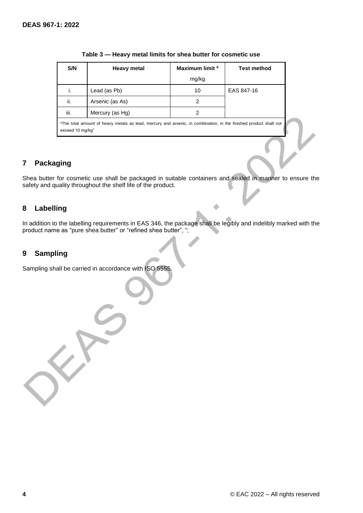| S/N                                                                                                                                               | Heavy metal     | Maximum limit <sup>a</sup> | <b>Test method</b> |  |  |  |
|---------------------------------------------------------------------------------------------------------------------------------------------------|-----------------|----------------------------|--------------------|--|--|--|
|                                                                                                                                                   |                 | mg/kg                      |                    |  |  |  |
| i.                                                                                                                                                | Lead (as Pb)    | 10                         | EAS 847-16         |  |  |  |
| ii.                                                                                                                                               | Arsenic (as As) | 2                          |                    |  |  |  |
| iii.                                                                                                                                              | Mercury (as Hg) |                            |                    |  |  |  |
| <sup>a</sup> The total amount of heavy metals as lead, mercury and arsenic, in combination, in the finished product shall not<br>exceed 10 mg/kg" |                 |                            |                    |  |  |  |

#### **Table 3 — Heavy metal limits for shea butter for cosmetic use**

## **7 Packaging**

Shea butter for cosmetic use shall be packaged in suitable containers and sealed in manner to ensure the safety and quality throughout the shelf life of the product.

## **8 Labelling**

In addition to the labelling requirements in EAS 346, the package shall be legibly and indelibly marked with the product name as "pure shea butter" or "refined shea butter", ";

## **9 Sampling**

Sampling shall be carried in accordance with ISO 5555.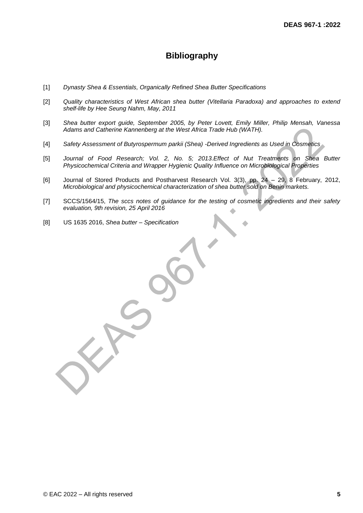# **Bibliography**

- [1] *Dynasty Shea & Essentials, Organically Refined Shea Butter Specifications*
- [2] *Quality characteristics of West African shea butter (Vitellaria Paradoxa) and approaches to extend shelf-life by Hee Seung Nahm, May, 2011*
- [3] *Shea butter export guide, September 2005, by Peter Lovett, Emily Miller, Philip Mensah, Vanessa Adams and Catherine Kannenberg at the West Africa Trade Hub (WATH).*
- [4] *Safety Assessment of Butyrospermum parkii (Shea) -Derived Ingredients as Used in Cosmetics*
- [5] Journal of Food Research; Vol. 2, No. 5; 2013. Effect of Nut Treatments on Shea Butter *Physicochemical Criteria and Wrapper Hygienic Quality Influence on Microbiological Properties*
- [6] Journal of Stored Products and Postharvest Research Vol. 3(3), pp. 24 29, 8 February, 2012, *Microbiological and physicochemical characterization of shea butter sold on Benin markets.*
- [7] SCCS/1564/15, *The sccs notes of guidance for the testing of cosmetic ingredients and their safety evaluation, 9th revision, 25 April 2016*
- [8] US 1635 2016, *Shea butter – Specification*